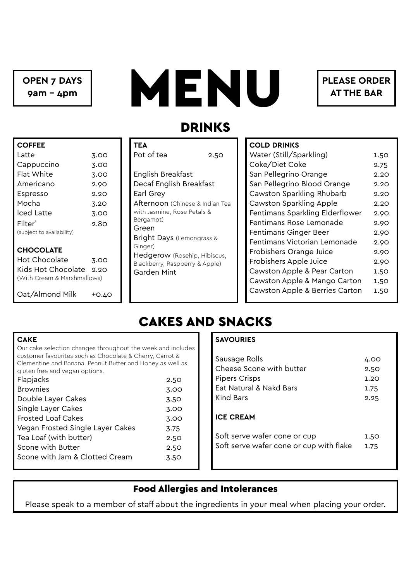**OPEN 7 DAYS 9am - 4pm**



**PLEASE ORDER AT THE BAR**

### DRINKS

| <b>COFFEE</b>               |       |
|-----------------------------|-------|
| Latte                       | 3.00  |
| Cappuccino                  | 3.00  |
| Flat White                  | 3.00  |
| Americano                   | 2.90  |
| Espresso                    | 2.20  |
| Mocha                       | 3.20  |
| Iced Latte                  | 3.00  |
| Filter`                     | 2.80  |
| (subject to availability)   |       |
| <b>CHOCOLATE</b>            |       |
| Hot Chocolate               | 3.00  |
| Kids Hot Chocolate          | 2.2O  |
| (With Cream & Marshmallows) |       |
| Oat/Almond Milk             | +0.40 |

| TEA<br>Pot of tea                                                                                                                                                                                                                                                                        | 2.50 |
|------------------------------------------------------------------------------------------------------------------------------------------------------------------------------------------------------------------------------------------------------------------------------------------|------|
| English Breakfast<br>Decaf English Breakfast<br>Earl Grey<br>Afternoon (Chinese & Indian Tea<br>with Jasmine, Rose Petals &<br>Bergamot)<br>Green<br><b>Bright Days</b> (Lemongrass &<br>Ginger)<br><b>Hedgerow</b> (Rosehip, Hibiscus,<br>Blackberry, Raspberry & Apple)<br>Garden Mint |      |

#### **COLD DRINKS**

| COLD DRINNJ                     |      |
|---------------------------------|------|
| Water (Still/Sparkling)         | 1.50 |
| Coke/Diet Coke                  | 2.75 |
| San Pellegrino Orange           | 2.20 |
| San Pellegrino Blood Orange     | 2.20 |
| Cawston Sparkling Rhubarb       | 2.20 |
| Cawston Sparkling Apple         | 2.20 |
| Fentimans Sparkling Elderflower | 2.90 |
| Fentimans Rose Lemonade         | 2.90 |
| Fentimans Ginger Beer           | 2.90 |
| Fentimans Victorian Lemonade    | 2.90 |
| <b>Frobishers Orange Juice</b>  | 2.90 |
| Frobishers Apple Juice          | 2.90 |
| Cawston Apple & Pear Carton     | 1.50 |
| Cawston Apple & Mango Carton    | 1.50 |
| Cawston Apple & Berries Carton  | 1.50 |
|                                 |      |

# CAKES AND SNACKS

#### **CAKE**

| Our cake selection changes throughout the week and includes |      |  |
|-------------------------------------------------------------|------|--|
| customer favourites such as Chocolate & Cherry, Carrot &    |      |  |
| Clementine and Banana, Peanut Butter and Honey as well as   |      |  |
| gluten free and vegan options.                              |      |  |
| Flapjacks                                                   | 2.50 |  |
| <b>Brownies</b>                                             | 3.00 |  |
| Double Layer Cakes                                          | 3.50 |  |
| Single Layer Cakes                                          | 3.00 |  |
| <b>Frosted Loaf Cakes</b>                                   | 3.00 |  |
| Vegan Frosted Single Layer Cakes                            | 3.75 |  |
| Tea Loaf (with butter)                                      | 2.50 |  |
| Scone with Butter                                           | 2.50 |  |
| Scone with Jam & Clotted Cream                              | 3.50 |  |

#### **SAVOURIES**

| Sausage Rolls                           | 4.00 |
|-----------------------------------------|------|
| Cheese Scone with butter                | 2.50 |
| <b>Pipers Crisps</b>                    | 1.20 |
| Eat Natural & Nakd Bars                 | 1.75 |
| Kind Bars                               | 2.25 |
| <b>ICE CREAM</b>                        |      |
| Soft serve wafer cone or cup            | 1.50 |
| Soft serve wafer cone or cup with flake | 1.75 |

### Food Allergies and Intolerances

Please speak to a member of staff about the ingredients in your meal when placing your order.